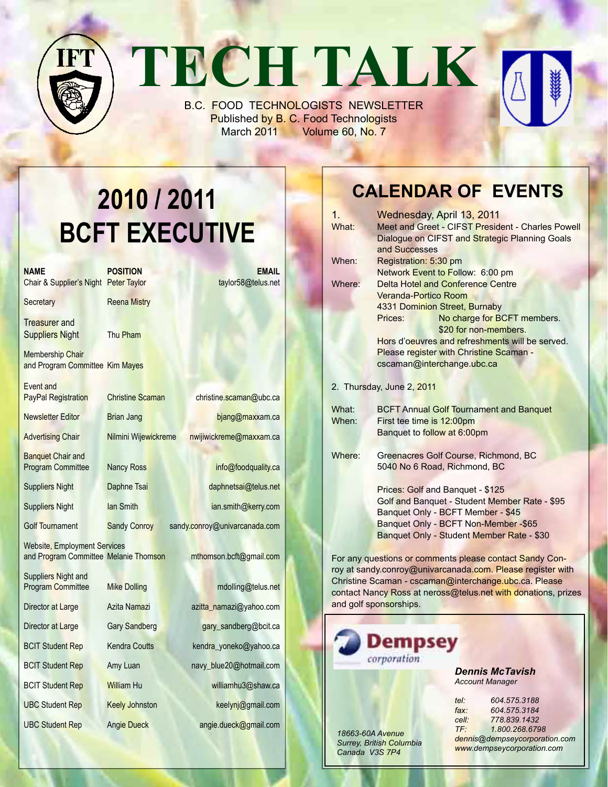## **TECH TALK** FTT<sub>U</sub> B.C. FOOD TECHNOLOGISTS NEWSLETTER

Published by B. C. Food Technologists March 2011 Volume 60, No. 7

# **2010 / 2011 BCFT EXECUTIVE**

| <b>NAME</b><br>Chair & Supplier's Night Peter Taylor                  | <b>POSITION</b>         | EMAIL<br>taylor58@telus.net   |
|-----------------------------------------------------------------------|-------------------------|-------------------------------|
| Secretary                                                             | <b>Reena Mistry</b>     |                               |
| Treasurer and<br><b>Suppliers Night</b>                               | Thu Pham                |                               |
| <b>Membership Chair</b><br>and Program Committee Kim Mayes            |                         |                               |
| <b>Fvent and</b><br><b>PayPal Registration</b>                        | <b>Christine Scaman</b> | christine.scaman@ubc.ca       |
| <b>Newsletter Editor</b>                                              | Brian Jang              | bjang@maxxam.ca               |
| <b>Advertising Chair</b>                                              | Nilmini Wijewickreme    | nwijiwickreme@maxxam.ca       |
| <b>Banquet Chair and</b><br><b>Program Committee</b>                  | <b>Nancy Ross</b>       | info@foodquality.ca           |
| <b>Suppliers Night</b>                                                | Daphne Tsai             | daphnetsai@telus.net          |
| <b>Suppliers Night</b>                                                | lan Smith               | ian.smith@kerry.com           |
| <b>Golf Tournament</b>                                                | <b>Sandy Conroy</b>     | sandy.conroy@univarcanada.com |
| Website, Employment Services<br>and Program Committee Melanie Thomson |                         | mthomson.bcft@gmail.com       |
| Suppliers Night and<br><b>Program Committee</b>                       | <b>Mike Dolling</b>     | mdolling@telus.net            |
| Director at Large                                                     | Azita Namazi            | azitta_namazi@yahoo.com       |
| Director at Large                                                     | <b>Gary Sandberg</b>    | gary_sandberg@bcit.ca         |
| <b>BCIT Student Rep</b>                                               | <b>Kendra Coutts</b>    | kendra_yoneko@yahoo.ca        |
| <b>BCIT Student Rep</b>                                               | Amy Luan                | navy_blue20@hotmail.com       |
| <b>BCIT Student Rep</b>                                               | <b>William Hu</b>       | williamhu3@shaw.ca            |
| <b>UBC Student Rep</b>                                                | <b>Keely Johnston</b>   | keelynj@gmail.com             |
| <b>UBC Student Rep</b>                                                | <b>Angie Dueck</b>      | angie.dueck@gmail.com         |
|                                                                       |                         |                               |

### **Calendar Of Events**

| $1_{-}$                                                       | Wednesday, April 13, 2011                                                          |  |  |  |  |  |
|---------------------------------------------------------------|------------------------------------------------------------------------------------|--|--|--|--|--|
| What:                                                         | Meet and Greet - CIFST President - Charles Powell                                  |  |  |  |  |  |
|                                                               | Dialogue on CIFST and Strategic Planning Goals                                     |  |  |  |  |  |
|                                                               | and Successes                                                                      |  |  |  |  |  |
| When:                                                         | Registration: 5:30 pm                                                              |  |  |  |  |  |
|                                                               | Network Event to Follow: 6:00 pm                                                   |  |  |  |  |  |
| Where:                                                        | <b>Delta Hotel and Conference Centre</b>                                           |  |  |  |  |  |
|                                                               | <b>Veranda-Portico Room</b>                                                        |  |  |  |  |  |
|                                                               | 4331 Dominion Street, Burnaby                                                      |  |  |  |  |  |
|                                                               | No charge for BCFT members.<br>Prices:                                             |  |  |  |  |  |
|                                                               | \$20 for non-members.                                                              |  |  |  |  |  |
| Hors d'oeuvres and refreshments will be served.               |                                                                                    |  |  |  |  |  |
|                                                               | Please register with Christine Scaman -                                            |  |  |  |  |  |
|                                                               | cscaman@interchange.ubc.ca                                                         |  |  |  |  |  |
| 2. Thursday, June 2, 2011                                     |                                                                                    |  |  |  |  |  |
| <b>BCFT Annual Golf Tournament and Banquet</b><br>What:       |                                                                                    |  |  |  |  |  |
| When:                                                         | First tee time is 12:00pm                                                          |  |  |  |  |  |
|                                                               | Banquet to follow at 6:00pm                                                        |  |  |  |  |  |
|                                                               |                                                                                    |  |  |  |  |  |
| Where:                                                        | Greenacres Golf Course, Richmond, BC                                               |  |  |  |  |  |
|                                                               | 5040 No 6 Road, Richmond, BC                                                       |  |  |  |  |  |
|                                                               |                                                                                    |  |  |  |  |  |
|                                                               | Prices: Golf and Banquet - \$125                                                   |  |  |  |  |  |
|                                                               | Golf and Banquet - Student Member Rate - \$95<br>Banquet Only - BCFT Member - \$45 |  |  |  |  |  |
|                                                               | Banquet Only - BCFT Non-Member - \$65                                              |  |  |  |  |  |
|                                                               | Banquet Only - Student Member Rate - \$30                                          |  |  |  |  |  |
|                                                               |                                                                                    |  |  |  |  |  |
| For any questions or comments please contact Sandy Con-       |                                                                                    |  |  |  |  |  |
| roy at sandy.conroy@univarcanada.com. Please register with    |                                                                                    |  |  |  |  |  |
| Christine Scaman - cscaman@interchange.ubc.ca. Please         |                                                                                    |  |  |  |  |  |
| contact Nancy Ross at neross@telus.net with donations, prizes |                                                                                    |  |  |  |  |  |
|                                                               | and golf sponsorships.                                                             |  |  |  |  |  |



*18663-60A Avenue Surrey, British Columbia Canada V3S 7P4*

*Dennis McTavish Account Manager*

| $te$ :                        | 604.575.3188   |  |  |  |  |  |
|-------------------------------|----------------|--|--|--|--|--|
| $\mathsf{fax}$ :              | 604.575.3184   |  |  |  |  |  |
| cell:                         | 778.839.1432   |  |  |  |  |  |
| $TF^+$                        | 1.800.268.6798 |  |  |  |  |  |
| dennis@dempseycorporation.com |                |  |  |  |  |  |
| www.dempseycorporation.com    |                |  |  |  |  |  |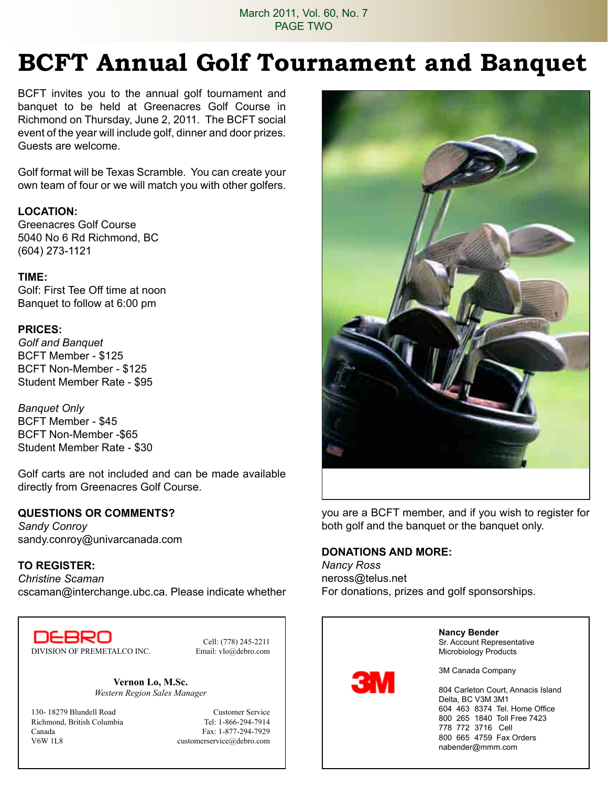March 2011, Vol. 60, No. 7 PAGE TWO

## **BCFT Annual Golf Tournament and Banquet**

BCFT invites you to the annual golf tournament and banquet to be held at Greenacres Golf Course in Richmond on Thursday, June 2, 2011. The BCFT social event of the year will include golf, dinner and door prizes. Guests are welcome.

Golf format will be Texas Scramble. You can create your own team of four or we will match you with other golfers.

#### **Location:**

Greenacres Golf Course 5040 No 6 Rd Richmond, BC (604) 273-1121

#### **Time:**

Golf: First Tee Off time at noon Banquet to follow at 6:00 pm

#### **Prices:**

*Golf and Banquet* BCFT Member - \$125 BCFT Non-Member - \$125 Student Member Rate - \$95

*Banquet Only* BCFT Member - \$45 BCFT Non-Member -\$65 Student Member Rate - \$30

Golf carts are not included and can be made available directly from Greenacres Golf Course.

#### **QUESTIONS OR COMMENTS?**

*Sandy Conroy* sandy.conroy@univarcanada.com

#### **TO REGISTER:**

*Christine Scaman*  cscaman@interchange.ubc.ca. Please indicate whether

DEBRO DIVISION OF PREMETALCO INC. Email: vlo@debro.com

Cell: (778) 245-2211

**Vernon Lo, M.Sc.** *Western Region Sales Manager*

130- 18279 Blundell Road Customer Service Richmond, British Columbia Tel: 1-866-294-7914 Canada Fax: 1-877-294-7929<br>V6W 11.8 customerservice@debro.com

customerservice@debro.com



you are a BCFT member, and if you wish to register for both golf and the banquet or the banquet only.

#### **DONATIONS AND MORE:**

*Nancy Ross* neross@telus.net For donations, prizes and golf sponsorships.

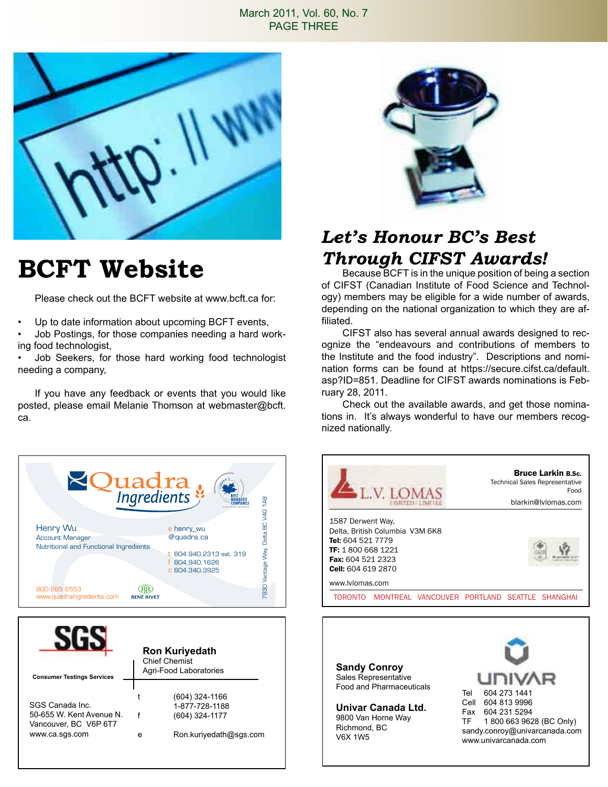#### March 2011, Vol. 60, No. 7 PAGE THREE



## **BCFT Website**

Please check out the BCFT website at www.bcft.ca for:

Up to date information about upcoming BCFT events,

• Job Postings, for those companies needing a hard working food technologist,

• Job Seekers, for those hard working food technologist needing a company,

If you have any feedback or events that you would like posted, please email Melanie Thomson at webmaster@bcft. ca.



| <b>Consumer Testings Services</b>                                                      | <b>Ron Kuriyedath</b><br><b>Chief Chemist</b><br>Agri-Food Laboratories |                                                                              |
|----------------------------------------------------------------------------------------|-------------------------------------------------------------------------|------------------------------------------------------------------------------|
| SGS Canada Inc.<br>50-655 W. Kent Avenue N.<br>Vancouver, BC V6P 6T7<br>www.ca.sgs.com | е                                                                       | (604) 324-1166<br>1-877-728-1188<br>(604) 324-1177<br>Ron.kuriyedath@sqs.com |



### *Let's Honour BC's Best Through CIFST Awards!*

Because BCFT is in the unique position of being a section of CIFST (Canadian Institute of Food Science and Technology) members may be eligible for a wide number of awards, depending on the national organization to which they are affiliated.

CIFST also has several annual awards designed to recognize the "endeavours and contributions of members to the Institute and the food industry". Descriptions and nomination forms can be found at https://secure.cifst.ca/default. asp?ID=851. Deadline for CIFST awards nominations is February 28, 2011.

Check out the available awards, and get those nominations in. It's always wonderful to have our members recognized nationally.



9800 Van Horne Way Richmond, BC V6X 1W5

Fax 604 231 5294 TF 1 800 663 9628 (BC Only) sandy.conroy@univarcanada.com www.univarcanada.com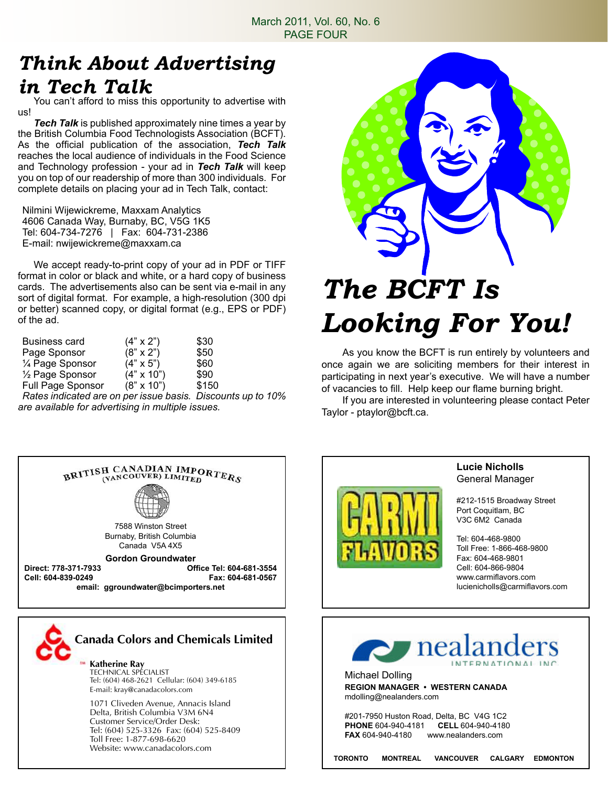### *Think About Advertising in Tech Talk*

You can't afford to miss this opportunity to advertise with us!

*Tech Talk* is published approximately nine times a year by the British Columbia Food Technologists Association (BCFT). As the official publication of the association, *Tech Talk*  reaches the local audience of individuals in the Food Science and Technology profession - your ad in *Tech Talk* will keep you on top of our readership of more than 300 individuals. For complete details on placing your ad in Tech Talk, contact:

Nilmini Wijewickreme, Maxxam Analytics 4606 Canada Way, Burnaby, BC, V5G 1K5 Tel: 604-734-7276 | Fax: 604-731-2386 E-mail: nwijewickreme@maxxam.ca

We accept ready-to-print copy of your ad in PDF or TIFF format in color or black and white, or a hard copy of business cards. The advertisements also can be sent via e-mail in any sort of digital format. For example, a high-resolution (300 dpi or better) scanned copy, or digital format (e.g., EPS or PDF) of the ad.

| Business card                | $(4" \times 2")$  | \$30  |
|------------------------------|-------------------|-------|
| Page Sponsor                 | $(8" \times 2")$  | \$50  |
| 1/4 Page Sponsor             | $(4" \times 5")$  | \$60  |
| 1/ <sub>2</sub> Page Sponsor | $(4" \times 10")$ | \$90  |
| Full Page Sponsor            | $(8" \times 10")$ | \$150 |

*Rates indicated are on per issue basis. Discounts up to 10% are available for advertising in multiple issues.*



# *The BCFT Is Looking For You!*

As you know the BCFT is run entirely by volunteers and once again we are soliciting members for their interest in participating in next year's executive. We will have a number of vacancies to fill. Help keep our flame burning bright.

If you are interested in volunteering please contact Peter Taylor - ptaylor@bcft.ca.





1071 Cliveden Avenue, Annacis Island Delta, British Columbia V3M 6N4 Customer Service/Order Desk: Tel: (604) 525-3326 Fax: (604) 525-8409 Toll Free: 1-877-698-6620 Website: www.canadacolors.com



#### **Lucie Nicholls** General Manager

#212-1515 Broadway Street Port Coquitlam, BC V3C 6M2 Canada

Tel: 604-468-9800 Toll Free: 1-866-468-9800 Fax: 604-468-9801 Cell: 604-866-9804 www.carmiflavors.com lucienicholls@carmiflavors.com



Michael Dolling **REGION MANAGER • WESTERN CANADA** mdolling@nealanders.com

#201-7950 Huston Road, Delta, BC V4G 1C2<br>PHONE 604-940-4181 CFLL 604-940-4180 **PHONE** 604-940-4181<br>**FAX** 604-940-4180 www.nealanders.com

**TORONTO MONTREAL VANCOUVER CALGARY EDMONTON**